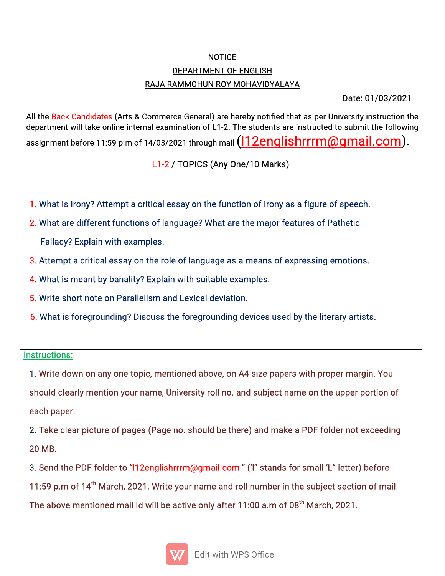## NOTICE DEPARTMENT OF ENGLISH RAJA RAMMOHUN ROY MOHAVIDYALAYA

Date:01/03/2021

All the Back Candidates (Arts & Commerce General) are hereby notified that as per University instruction the department will take online internal examination of L1-2. The students are instructed to submit the following assignment before 11:59 p.m of 14/03/2021 through mail  $(112$ englishrrrm@gmail.com).

L1-2/TOPICS(AnyOne/10Marks)

- 1. What is Irony? Attempt a critical essay on the function of Irony as a figure of speech.
- 2. What are different functions of language? What are the major features of Pathetic Fallacy? Explain with examples.
- 3. Attempt a critical essay on the role of language as a means of expressing emotions.
- 4. What is meant by banality? Explain with suitable examples.
- 5. Write short note on Parallelism and Lexical deviation.
- 6. What is foregrounding? Discuss the foregrounding devices used by the literary artists.

## Instructions:

4. The contract of the contract of the contract of the contract of the contract of

1. Write down on any one topic, mentioned above, on A4 size papers with proper margin. You should clearly mention your name, University roll no. and subject name on the upper portion of each paper.

2. Take clear picture of pages (Page no. should be there) and make a PDF folder not exceeding 20MB.

3. Send the PDF folder to "12englishrrrm@gmail.com" ('I" stands for small 'L" letter) before

11:59 p.m of 14<sup>th</sup> March, 2021. Write your name and roll number in the subject section of mail.

The above mentioned mail Id will be active only after 11:00 a.m of 08<sup>th</sup> March, 2021.